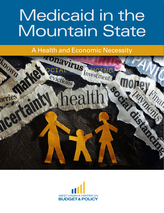# Medicaid in the Mountain State

A Health and Economic Necessity



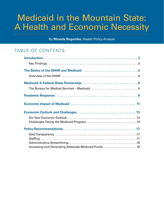# Medicaid in the Mountain State: A Health and Economic Necessity

By **Rhonda Rogombe**, Health Policy Analyst

# TABLE OF CONTENTS

| Increasing and Generating Adequate Medicaid Funds19 |  |
|-----------------------------------------------------|--|
|                                                     |  |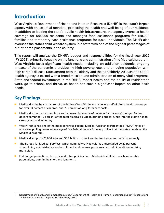# <span id="page-2-0"></span>**Introduction**

West Virginia's Department of Health and Human Resources (DHHR) is the state's largest agency with an essential mandate: protecting the health and well-being of our residents. In addition to leading the state's public health infrastructure, the agency oversees health coverage for 584,000 residents and manages food assistance programs for 150,000 families and temporary cash assistance programs for 5,800 individuals. The DHHR also oversees the state's child welfare system in a state with one of the highest percentages of out-of-home placements in the country. 1

This report will analyze the DHHR's budget and responsibilities for the fiscal year 2022 (FY 2022), primarily focusing on the functions and administration of the Medicaid program. West Virginia faces significant health needs, including an addiction epidemic, ongoing impacts of the pandemic, a stubbornly high poverty rate, and an aging population with high chronic disease rates among both the elderly and the non-elderly. As such, the state's health agency is tasked with a broad mission and administration of many vital programs. State and federal investments in the DHHR impact health and the ability of residents to work, go to school, and thrive, as health has such a significant impact on other basic needs.

### **Key Findings**

- n Medicaid is the health insurer of one in three West Virginians. It covers half of births, health coverage for over 50 percent of children, and 76 percent of long-term care costs.
- **n** Medicaid is both an expenditure and an essential source of revenue for our state's budget. Federal dollars comprise 70 percent of the total Medicaid budget, bringing critical funds into the state's health care system and economy.
- West Virginia has one of the most generous Federal Medical Assistance Percentage (FMAP) rates of any state, pulling down an average of five federal dollars for every dollar that the state spends on the Medicaid program.
- Medicaid supports 25,000 jobs and \$5.7 billion in direct and indirect economic activity annually.
- **n** The Bureau for Medical Services, which administers Medicaid, is understaffed by 20 percent; streamlining administrative and enrollment and renewal processes can help in addition to hiring more staff.
- **n** Flat budget projections, tax cuts, and other policies harm Medicaid's ability to reach vulnerable populations, both in the short and long term.

<sup>1</sup> Department of Health and Human Resources, "Department of Health and Human Resources Budget Presentation: 1<sup>st</sup> Session of the 86th Legislature" (February 2021).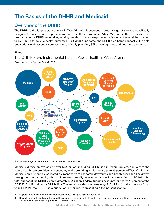# <span id="page-3-0"></span>**The Basics of the DHHR and Medicaid**

# Overview of the DHHR

The DHHR is the largest state agency in West Virginia. It oversees a broad range of services specifically designed to preserve and improve community health and wellness. While Medicaid is the most extensive program that the DHHR undertakes, serving one-third of the state population, it is one of several that interact to contribute to holistic health outcomes. As *Figure 1* indicates, the DHHR also helps connect vulnerable populations with essential services such as family planning, STI screening, food and nutrition, and more.

#### **Figure 1**

# The DHHR Plays Instrumental Role in Public Health in West Virginia

**Health Statistics Center Breast and** AIDS/STD/ **Adolescent Cervical Hepatitis Pregnancy**<br>**Prevention Medicaid Cancer Program Screening SNAP HealthCheck EBT Family WV Birth to Planning** WORKS **Three** Health<br>**Muman WIC Help Me Immunization** Grow **Program Child and Adult Infectious Services Right Disease** from the **Childhood Epidemiology Start Lead Poisoning Early Care and Tobacco Prevention** Education **Prevention WISEWOMAN Program Program CHIP** 

*Programs run by the DHHR, 2021*

#### *Source: West Virginia Department of Health and Human Resources*

Medicaid directs an average of over \$4.4 billion, including \$3.1 billion in federal dollars, annually to the state's health care providers and economy while providing health coverage to 33 percent of West Virginians. Medicaid enrollment is also incredibly responsive to economic downturns and health crises and has grown throughout the pandemic, which this report primarily focuses on and will later examine. In FY 2022, the total budget of the DHHR is approximately \$6.4 billion. Federal funding accounts for nearly 75 percent of the FY 2022 DHHR budget, or \$4.7 billion. The state provided the remaining \$1.7 billion.<sup>2</sup> In the previous fiscal year, FY 2021, the DHHR had a budget of \$6.1 billion, representing a five percent change. 3

<sup>2</sup> Department of Health and Human Resources, "Budget 86th Legislature."

<sup>3</sup> Department of Health and Human Resources, "Department of Health and Human Resources Budget Presentation: 1<sup>st</sup> Session of the 85th Legislature" (January 2020).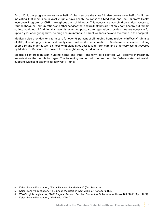As of 2019, the program covers over half of births across the state.<sup>4</sup> It also covers over half of children, indicating that most kids in West Virginia have health insurance via Medicaid (and the Children's Health Insurance Program, or CHIP) throughout their childhoods. This coverage gives children critical access to routine checkups, immunization, and other services that ensure that they are not only born healthy but remain so into adulthood.<sup>5</sup> Additionally, recently extended postpartum legislation provides mothers coverage for up to a year after giving birth, helping ensure infant and parent wellness beyond their time in the hospital. 6

Medicaid also provides long-term care for over 75 percent of all nursing home residents in West Virginia as of 2019, alleviating gaps in unpaid family care.<sup>7</sup> Further, it covers one-fifth of Medicare beneficiaries, helping people 65 and older as well as those with disabilities access long-term care and other services not covered by Medicare. Medicaid also covers three in eight younger individuals.

Medicaid's interaction with nursing home and other long-term care services will become increasingly important as the population ages. The following section will outline how the federal-state partnership supports Medicaid patients across West Virginia.

<sup>4</sup> Kaiser Family Foundation, "Births Financed by Medicaid" (October 2019).

<sup>5</sup> Kaiser Family Foundation, "Fact Sheet: Medicaid in West Virginia" (October 2019).

<sup>6</sup> West Virginia Legislature, "2021 Regular Session: Enrolled Committee Substitute for House Bill 2266" (April 2021).

<sup>7</sup> Kaiser Family Foundation, "Medicaid in WV".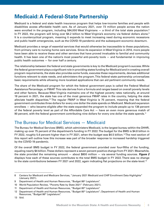# <span id="page-5-0"></span>**Medicaid: A Federal-State Partnership**

Medicaid is a federal and state health insurance program that helps low-income families and people with disabilities access affordable health care. As of January 2021, over 73 million people across the nation were enrolled in the program, including 584,000 West Virginians — a third of the total state population. 8 In FY 2022, the program will bring over \$4.2 billion to West Virginia's economy via federal dollars alone. 9 It is a countercyclical program, meaning it expands to meet increasing need during economic recessions and public health emergencies, such as the COVID-19 pandemic and the subsequent economic downturn.

Medicaid provides a range of essential services that would otherwise be inaccessible to these populations, from primary care to nursing home care services. Since its expansion in West Virginia in 2014, more people have been able to receive these and other services that have proved invaluable to familial and community health. It has been one of the nation's most powerful anti-poverty tools — and fundamental in improving public health outcomes — for over half a century.

The relationship between the federal and state governments is key to the Medicaid program's success. While the federal government plays a significant role in providing states funding for Medicaid and in creating overall program requirements, the state also provides some funds, executes these requirements, devises additional functions relevant to state needs, and administers the program. This federal-state partnership universalizes basic requirements while allowing more localized applications that can aid pertinent community needs.

The share of the Medicaid program for which the federal government pays is called the Federal Medical Assistance Percentage, or FMAP. This rate derives from a formula and ranges based on overall poverty levels and other factors. Because West Virginia maintains one of the highest poverty rates nationally, at around 18 percent in 2021, the state has one of the most generous FMAP rates in the country, helping the state alleviate health disparities. 10 The regular FMAP in West Virginia is 75 percent, meaning that the federal government contributes three dollars for every one dollar the state spends on Medicaid. Medicaid expansion enrollees — who became eligible after the state expanded the program to include people up to 138 percent of the federal poverty level as part of the Affordable Care Act — have an even more generous match of  $90$  percent, with the federal government contributing nine dollars for every one dollar the state spends. $^{\rm 11}$ 

### The Bureau for Medical Services — Medicaid

The Bureau for Medical Services (BMS), which administers Medicaid, is the largest bureau within the DHHR, making up over 75 percent of the department's funding in FY 2022. The budget for the BMS is \$4.8 billion in FY 2022, roughly 5.6 percent higher than in FY 2021, when the budget was \$4.5 billion. 12 The next section of this report will outline how this increase was part of the broader response to increased hardship triggered by the COVID-19 pandemic.

Of the overall BMS budget in FY 2022, the federal government provided over four-fifths of the funding, equaling nearly \$4 billion. These dollars represent a seven percent positive change from FY 2021. Meanwhile, the state provided the remaining amount — about \$800 million — via several funding sources. *Figure 2* displays how each of these sources contributes to the total BMS budget in FY 2022. There was no change to the state contributions between FY 2021 and 2022, again indicating flat projections on the state-level.<sup>13</sup>

13 Ibid.

<sup>8</sup> Centers for Medicaid and Medicare Services, "January 2021 Medicaid and CHIP Enrollment Data Highlights" (January 2021).

<sup>9</sup> Department of Health and Human Resources, "Budget 86<sup>th</sup> Legislature".

<sup>10</sup> World Population Review, "Poverty Rate by State 2021" (February 2021).

<sup>11</sup> Department of Health and Human Resources, "Budget 85<sup>th</sup> Legislature".

<sup>12</sup> Department of Health and Human Resources, "Budget 85<sup>th</sup> Legislature"; Department of Health and Human Resources, "Budget 86<sup>th</sup> Legislature".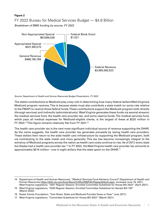#### **Figure 2**

### FY 2022 Bureau for Medical Services Budget — \$4.8 Billion *Breakdown of BMS funding by source, FY 2022*



*Source: Department of Health and Human Resources Budget Presentation, FY 2022*

The state's contributions to Medicaid play a key role in determining how many federal dollars West Virginia's Medicaid program receives. This is because states must also contribute a state match (or some rate relative to the FMAP) to receive those federal funds. These contributions support the Medicaid program both directly (through services) and indirectly (administratively). West Virginia generates these funds via several streams: the medical services fund, the health care provider tax, and some reserve funds. The medical services fund, which pays all medical expenses for Medicaid-eligible clients, is the largest of these at \$225 million in FY 2022.<sup>14</sup> This figure remains relatively flat from FY 2021.<sup>15</sup>

The health care provider tax is the next most significant individual source of revenue supporting the DHHR. As the name suggests, the health care provider tax generates proceeds by taxing health care providers. These dollars then return to the state health care infrastructure by supporting the Medicaid program, both via contributing to the state match and more generally. This tax has become increasingly integral to the solvency of Medicaid programs across the nation as health care costs continue to rise. As of 2017, every state but Alaska had a health care provider tax. 16 In FY 2022, the West Virginia health care provider tax amounts to approximately \$214 million—one in eight dollars that the state spent on the DHHR.<sup>17</sup>

<sup>14</sup> Department of Health and Human Resources, "Medical Services Fund Advisory Council", Department of Health and Human Resources https://dhhr.wv.gov/bms/About%20Us/MSFAC/Pages/default.aspx, accessed June 16, 2021; West Virginia Legislature, "2021 Regular Session: Enrolled Committee Substitute for House Bill 2022" (April 2021).

<sup>15</sup> West Virginia Legislature, "2020 Regular Session: Enrolled Committee Substitute for Senate Bill 150" (March 2020).

<sup>16</sup> Kaiser Family Foundation, "Fact Sheet: State and Medicaid Provider Taxes or Fees" (July 2017).

<sup>17</sup> West Virginia Legislature, "Committee Substitute for House Bill 2022" (March 2021).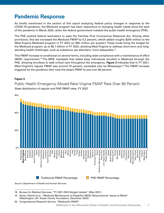# <span id="page-7-0"></span>**Pandemic Response**

As briefly mentioned in the section of this report analyzing federal policy changes in response to the COVID-19 pandemic, the Medicaid program has been responsive to changing health needs since the start of the pandemic in March 2020, when the federal government instated the public health emergency (PHE).

The PHE pushed federal lawmakers to pass the Families First Coronavirus Response Act. Among other provisions, this law increased the Medicaid FMAP by 6.2 percent, which added roughly \$200 million to the West Virginia Medicaid program in FY 2022 (or \$50 million per quarter). These funds bring the budget for the Medicaid program up to \$5.1 billion in FY 2022, allowing West Virginia to address short-term and longstanding health challenges, such as substance use disorders, more adequately. $^{\rm 18}$ 

This FMAP increase is conditional on several terms, including state compliance with a maintenance of effort (MOE) requirement. 19 The MOE mandates that states keep individuals enrolled in Medicaid through the PHE, allowing enrollees to seek critical care throughout the emergency. *Figure 3* indicates that in FY 2021, West Virginia's regular FMAP was around 75 percent, exceeded only by Mississippi.<sup>20</sup> The FMAP increase triggered by the pandemic then took the state's FMAP to just over 80 percent.

#### **Figure 3**

Public Health Emergency Moved West Virginia FMAP Rate Over 80 Percent *State distribution of regular and PHE FMAP rates, FY 2022*



18 Bureau for Medical Services, "FY 2021-2022 Budget Update" (May 2021).

<sup>19</sup> Dolan, Rachel et al., "Medicaid Maintenance of Eligibility (MOE) Requirements: Issues to Watch" (Washington, DC: Kaiser Family Foundation, December 2020).

<sup>20</sup> Congressional Research Service, "Medicaid's FMAP."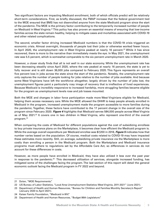Two significant factors are impacting Medicaid enrollment, both of which officials predict will be relatively short-term considerations. First, as briefly discussed, the FMAP increase that the federal government tied to the MOE ensured that BMS has not disenrolled anyone from the state Medicaid program since the start of the pandemic. The MOE is the primary factor contributing to the temporarily increased number of people on Medicaid in West Virginia.<sup>21</sup> This policy has also proven an essential means of ensuring that low-income families across the state remain healthy, helping to mitigate cases and mortalities associated with COVID-19 and other related complications.

The second, smaller factor driving increased Medicaid numbers is that the COVID-19 crisis triggered an economic crisis. Almost overnight, thousands of people lost their jobs or otherwise worked fewer hours. In April 2020, the unemployment rate in West Virginia peaked at nearly 16 percent. 22 While it has since recovered, there is more to the narrative than immediately meets the eye. In May 2021, the unemployment rate was 5.5 percent, which is somewhat comparable to the six percent unemployment rate in March 2020.

However, a closer study finds that all is not well in our state economy. While the unemployment rate has been decreasing steadily since April 2020, where the rate peaked at nearly 16 percent, the state is yet to fully recover and is still down 36,000 jobs compared to February 2020. This figure represents an overall five percent loss in jobs across the state since the start of the pandemic. Notably, the unemployment rate only captures the number of people looking for jobs relative to the number of jobs available. And because some West Virginians have left the workforce altogether, largely driven by the number of jobs lost, the unemployment figures paint a particularly rosy image of recovery that is irreflective of lived experiences. Because Medicaid is incredibly responsive to increased hardship, more struggling families became eligible for the program as unemployment levels rose and job losses mounted.

Both the MOE and changes in labor force participation made more West Virginians eligible for Medicaid, helping them access necessary care. While the MOE allowed the DHHR to keep people already enrolled in Medicaid in the program, increased unemployment made the program accessible to more families during the pandemic. Together, these factors have contributed to the 17 percent change in the overall size of the program since February 2020. *Figure 4* highlights that Medicaid serves 584,000 people across West Virginia as of May 2021.<sup>23</sup> It covers one in two children in West Virginia, who represent one-third of the overall program. 24

When comparing the costs of Medicaid for different populations against the cost of subsidizing enrollees to buy private insurance plans on the Marketplace, it becomes clear how efficient the Medicaid program is. While the average overall expenditure per Medicaid enrollee was \$7,200 in 2018, *Figure 5* indicates how that number varies based on the population. Of course, medical costs related to COVID-19 may have impacted these estimates more recently. Still, on average, subsidizing private insurance via the Marketplace is more costly than enrolling a person in the Medicaid program. Both the Marketplace and Medicaid insurance programs must adhere to regulations set by the Affordable Care Act, so differences in services do not account for these differences in costs.

However, as more people have enrolled in Medicaid, they have also utilized it less over the past year in response to the pandemic.<sup>25</sup> This decreased utilization of services, alongside increased funding, has mitigated some of the challenges facing the program. The last section of this report will detail the general economic outlook facing the Medicaid program in FY 2022 and beyond.

<sup>21</sup> Dolan, "MOE Requirements."

<sup>22</sup> US Bureau of Labor Statistics, "Local Area Unemployment Statistics: West Virginia, 2011-2021" (June 2021).

<sup>23</sup> Department of Health and Human Resources, "Bureau for Children and Families Monthly Secretary's Report" (January 2020 to April 2021).

<sup>24</sup> Kaiser Family Foundation, "Medicaid in WV."

<sup>25</sup> Department of Health and Human Resources, "Budget 86th Legislature."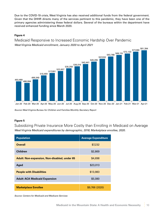Due to the COVID-19 crisis, West Virginia has also received additional funds from the federal government. Given that the DHHR directs many of the services pertinent to this pandemic, they have been one of the primary agencies administering these federal dollars. Several of the bureaus within the department have received enhanced funding since March 2020.

#### **Figure 4**

Medicaid Responsive to Increased Economic Hardship Over Pandemic *West Virginia Medicaid enrollment, January 2020 to April 2021*



*Source: West Virginia Bureau for Children and Families Monthly Secretary Report*

#### **Figure 5**

Subsidizing Private Insurance More Costly than Enrolling in Medicaid on Average *West Virginia Medicaid expenditures by demographic, 2018; Marketplace enrollee, 2020.*

| <b>Population</b>                                   | <b>Average Expenditure</b> |
|-----------------------------------------------------|----------------------------|
| <b>Overall</b>                                      | \$7,232                    |
| <b>Children</b>                                     | \$2,869                    |
| <b>Adult: Non-expansion, Non-disabled, under 65</b> | \$4,698                    |
| Aged                                                | \$23,013                   |
| <b>People with Disabilities</b>                     | \$13,983                   |
| <b>Adult: ACA Medicaid Expansion</b>                | \$5,080                    |
| <b>Marketplace Enrollee</b>                         | \$9,766 (2020)             |

*Source: Centers for Medicaid and Medicare Services*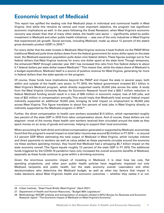# <span id="page-10-0"></span>**Economic Impact of Medicaid**

This report has uplifted the leading role that Medicaid plays in individual and communal health in West Virginia. And while this remains its central and most important objective, the program has significant economic implications as well. In the years following the Great Recession, when West Virginia's economic recovery was slower than that of many other states, the health care sector — significantly aided by public investment in Medicaid and other public health initiatives — was one of the only industries in West Virginia that experienced job growth. Social services, including Medicaid, made up about 12 percent of the state's gross domestic product (GDP) in 2019. 26

For every dollar that the state invests in Medicaid, West Virginia receives it back fivefold via the FMAP. While traditional Medicaid pulls three dollars down from the federal government for every dollar spent on the state level, the Medicaid expansion population pulls down nine federal dollars. These figures average out to five federal dollars that West Virginia receives for every one dollar spent at the state level. Though temporary, the enhanced FMAP through calendar year 2021 has increased this ratio from five federal dollars to about 5.7 federal dollars per state dollar toward Medicaid. $^{27}$  This means that, while the state's share of Medicaid is a budget expenditure, Medicaid itself is a source of positive revenue for West Virginia, generating far more in federal dollars than the state spends on the program.

Of course, these funds have implications beyond the FMAP and impact the state in several ways, both within and outside of the health care sector. In FY 2019, the federal government invested \$3.1 billion in West Virginia's Medicaid program, which directly supported nearly 20,000 jobs across the state. A study from the West Virginia University Bureau for Economic Research found that a \$28.7 million reduction in federal Medicaid funding would result in a loss of \$49 million in economic output, loss of 520 jobs, and loss of \$22 million in compensation annually. This would imply that Medicaid's total annual federal impact indirectly supported an additional 19,000 jobs, bringing its total impact on employment to 39,000 jobs across West Virginia. This figure translates to about five percent of total jobs in West Virginia directly or indirectly supported by the Medicaid program in 2019. 28

Further, the direct compensation to health care workers exceeded \$1.5 billion, which represented roughly two percent of the state GDP in 2019 from labor compensation alone. And of course, these dollars are not stagnant –most of the money these health care workers received then circulated around the state as they spent money on an array of goods and services, helping to support their local economies.

When accounting for both direct and indirect compensation generated or supported by Medicaid, economists found that the program's overall impact on total labor income was around \$2.4 billion in FY 2019 — or around 3.2 percent GDP. When estimating the total output of Medicaid in West Virginia, which includes indirect and direct payments to workers (as well as value added as these payments circulate around the economy via these workers spending money), they found that Medicaid had a whopping \$5.7 billion impact on the state economy overall. This figure equals roughly 7.2 percent of the state GDP in FY 2019. The additional funds triggered by the COVID-19 pandemic have only increased the overall economic benefits of Medicaid, especially as these funds continue to grow within a shrinking economy.

Given the enormous economic impact of investing in Medicaid, it is clear how tax cuts, flat spending projections, and other poor public health policies have negatively impacted not only Medicaid recipients and public health, but the state economy overall. Lawmakers and other decisionmakers who determine the Medicaid budget, as well as other key factors that impact it, make decisions about West Virginia's health and economic outcomes — whether they realize it or not.

<sup>26</sup> Urban Institute, "State Fiscal Briefs: West Virginia" (April 2021).

<sup>27</sup> Department of Health and Human Resources, "Budget 86th Legislature."

<sup>28</sup> Methodology: WVCBP analysis and extrapolation of analysis utilized in WVU Bureau for Business and Economic Research report: "The Economic Impact of Medicaid on West Virginia's Economy."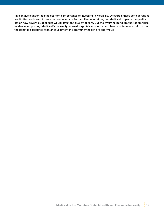This analysis underlines the economic importance of investing in Medicaid. Of course, these considerations are limited and cannot measure nonpecuniary factors, like to what degree Medicaid impacts the quality of life or how severe budget cuts would affect the quality of care. But the overwhelming amount of empirical evidence supporting Medicaid's necessity to West Virginia's economic and health outcomes confirms that the benefits associated with an investment in community health are enormous.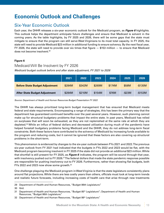# <span id="page-12-0"></span>**Economic Outlook and Challenges**

### Six-Year Economic Outlook

Each year, the DHHR releases a six-year economic outlook for the Medicaid program, as *Figure 6* highlights. This outlook helps the department anticipate future challenges and ensure that Medicaid is solvent in the coming years. As the table highlights, by FY 2025 and 2026, there will be some gaps that the state must mitigate to ensure that the program can still serve West Virginians to its most total capacity. In FY 2025, the state will need to provide Medicaid \$23 million in additional funding to ensure solvency. By the next fiscal year, FY 2026, the state will need to provide over six times that figure — \$153 million — to ensure that Medicaid does not become insolvent. 29

#### **Figure 6**

#### Medicaid Will Be Insolvent by FY 2026

*Medicaid budget outlook before and after state adjustment, FY 2021 to 2026*

|                                       | 2021   | 2022   | 2023   | 2024   | 2025      | 2026       |
|---------------------------------------|--------|--------|--------|--------|-----------|------------|
| <b>Before State Budget Adjustment</b> | \$284M | \$342M | \$269M | \$174M | \$58M     | $-$ \$135M |
| After State Budget Adjustment         | \$284M | \$210M | \$154M | \$76M  | $-$ \$23M | $-$153M$   |

*Source: Department of Health and Human Resources Budget Presentation FY 2022*

The DHHR has always prioritized long-term budget management that has ensured that Medicaid meets federal and state requirements. Encompassing a range of strategies, this has been the primary way that the department has guaranteed continued benefits over the past several years. However, such planning cannot make up for structural budgetary problems that impact the entire state. In past years, Medicaid has relied on surpluses that will soon be exhausted, as they are not replenished at the same rate at which they are depleted. 30 While an influx of federal dollars and decreased utilization during much of the pandemic have helped forestall budgetary problems facing Medicaid and the DHHR, they do not address long-term fiscal constraints. Both these factors have contributed to the solvency of Medicaid by increasing funds available to the program and reducing costs, but it cannot be ignored that these factors are also covering up structural problems in the short-term.

This phenomenon is evidenced by changes to the six-year outlook between FYs 2021 and 2022. The previous six-year outlook from FY 2021 had indicated that the budgets in FYs 2022 and 2023 would be flat, with the Medicaid program becoming insolvent in FY 2025 if the state did not provide an additional \$23 million. While that shortfall is still present for FY 2025, as *Figure 6* indicates, the program will be sound through that year, with insolvency pushed out to FY 2026. $^{\rm 31}$ The federal dollars that made the state pandemic response possible are responsible for pushing insolvency out to FY 2026. Furthermore, rather than showing flat budgets, both FYs 2022 and 2023 now show some growth. $32$ 

One challenge plaguing the Medicaid program in West Virginia is that the state legislature consistently plans around flat projections. While there are less costly years than others, officials must look at long-term trends and realistic future forecasts, including increasing costs of health care that arise through new treatments

<sup>29</sup> Department of Health and Human Resources, "Budget 86th Legislature."

<sup>30</sup> Ibid.

<sup>31</sup> Department of Health and Human Resources, "Budget 85<sup>th</sup> Legislature"; Department of Health and Human Resources, "Budget 86th Legislature."

<sup>32</sup> Department of Health and Human Resources, "Budget 86<sup>th</sup> Legislature."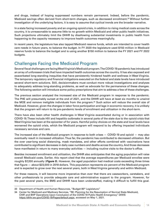<span id="page-13-0"></span>and drugs, instead of hoping suppressed numbers remain permanent. Indeed, before the pandemic, Medicaid savings often derived from short-term changes, such as decreased enrollment. 33 Without further investigation of the underlying factors, it is easy to assume that cyclical trends are the broader narrative.

In a state facing increased poverty and an ongoing opioid crisis, in addition to rising medical costs across the country, it is unreasonable to assume little to no growth within Medicaid and other public health initiatives. Such projections ultimately limit the DHHR by disallowing substantial investments in public health from happening to the capacity necessary to improve health outcomes meaningfully.

In recent years, the legislature has also tapped Medicaid reserve funds, which are intended to cover health care needs in future years, to balance the budget. In FY 2020 the legislature used \$150 million in Medicaid reserve funds to balance the budget and is using another \$150 million to balance the FY 2021 and FY 2022 budgets.

# Challenges Facing the Medicaid Program

Several fiscal challenges are facing West Virginia's Medicaid program. The COVID-19 pandemic has introduced an array of unforeseen trials that have impacted health outcomes across the country. It has also exposed and exacerbated long-standing inequities that have persistently hindered health and wellness in West Virginia. The temporary regulatory and financial mitigations executed on the federal and state levels have introduced several short-term solutions. Still, decisionmakers must conduct more robust investigations and analyses to adequately address long-standing problems, as well as advocate for the permanence of these changes. The following section will introduce some policy prescriptions that aim to address a few of these challenges.

The previous section analyzed the increased size of the Medicaid program in response to the pandemic. The PHE will presumably sunset at the end of 2021, and the DHHR will have at least six months to unwind the MOE and remove ineligible individuals from the program. 34 Such action will reduce the overall size of Medicaid. However, given the changes in labor force participation and lags in economic recovery, it is unlikely that the program will return to its pre-pandemic levels of enrollment and utilization in the short-term.

There have also been other health challenges in West Virginia exacerbated during or in association with COVID-19. These include HIV and hepatitis outbreaks in several parts of the state due to the opioid crisis that West Virginia has been at the epicenter of for years. Harmful policy choices on the state and local levels have worsened the opioid crisis, which the Medicaid program will respond to by offering impacted individuals necessary services and care.

The increased size of the Medicaid program in response to both crises — COVID-19 and opioid — may also eventually result in increased utilization. Thus far, the pandemic has contributed to decreased utilization. But the over year-long social distancing, mask mandates, and other efforts combined with vaccinations have contributed to significant decreases in daily case numbers and deaths across the country. And those decreases have manifested in return to many everyday activities — including routine visits to the doctor's office.

Besides increased enrollment and utilization, the DHHR also anticipates that the aging population will raise overall Medicaid costs. Earlier, this report cited that the average expenditures per Medicaid enrollee were roughly \$7,200 annually (*Figure 5*). However, the aged population had medical costs exceeding three times that figure — about \$23,000 in 2018 dollars. This population represents six percent of the Medicaid program and is expected to grow over the next several years, both in West Virginia generally and within Medicaid.

For these reasons, it will become more imperative than ever that there are caseworkers, caretakers, and other professionals to provide adequate care and administrative support to the program. However, for the past several years, the BMS and DHHR have been understaffed, making it difficult to fulfill this goal.

<sup>33</sup> Department of Health and Human Resources, "Budget 85<sup>th</sup> Legislature."

<sup>34</sup> Center for Medicaid and Medicare Services, "RE: Planning for the Resumption of Normal State Medicaid, CHIP, and BHP Operations Upon Conclusion of the COVID-19 Public Health Emergency," DHHS https://dhhr.wv.gov/COVID-19/Pages/default.aspx, accessed on May 1, 2021.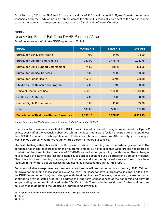As of February 2021, the BMS had 21 vacant positions of 100 positions total. <sup>35</sup> *Figure 7* breaks down these vacancies by bureau. While this is a problem across the state, it is especially pertinent to the southern-most parts of the state and more populated areas such as Cabell and Jefferson Counties.

#### **Figure 7**

#### Nearly One-Fifth of Full-Time DHHR Positions Vacant

*Full-time vacancies within the DHHR by bureau, FY 2022*

| <b>Bureau</b>                                   | <b>Vacant FTE</b> | <b>Filled FTE</b> | <b>Total FTE</b> |
|-------------------------------------------------|-------------------|-------------------|------------------|
| <b>Bureau for Behavioral Health</b>             | 7.00              | 64.00             | 71.00            |
| <b>Bureau for Children and Families</b>         | 289.00            | 2,448.75          | 2,737.75         |
| <b>Bureau for Child Support Enforcement</b>     | 74.50             | 419.45            | 493.95           |
| <b>Bureau for Medical Services</b>              | 21.00             | 79.00             | 100.00           |
| <b>Bureau for Public Health</b>                 | 162.48            | 507.00            | 669.48           |
| Children's Health Insurance Program             | 2.00              | 7.00              | 9.00             |
| <b>Office of Health Facilities</b>              | 458.15            | 1,190.00          | 1,648.15         |
| <b>Health Care Authority</b>                    | 2.00              | 6.00              | 8.00             |
| <b>Human Rights Commission</b>                  | 8.00              | 19.00             | 27.00            |
| Other                                           | 109.00            | 558.16            | 667.16           |
| <b>Department of Health and Human Resources</b> | 1,133.13          | 5,298.36          | 6,431.49         |

*Source: Department of Health and Human Resources Budget Presentation FY 2022*

One driver for these vacancies that the DHHR has indicated is related to wages. As outlined by *Figure 8* below, over half of the vacancies observed within the department were for full-time positions that paid less than \$32,000 annually, which equals about 15 dollars an hour — maximum. Alternatively, jobs paying at least \$64,000 annually comprise roughly three percent of overall vacancies. 36

The last challenge that this section will discuss is related to funding from the federal government. The pandemic has triggered increased financing, grants, and policy flexibilities that West Virginia has utilized to combat the direct and indirect impacts of COVID-19, as well as long-standing health issues. These changes have allowed the state to address persistent issues such as substance use disorders and domestic violence. They have bolstered funding for programs like home and community-based services. 37 And they have resulted in many more people accessing Medicaid, as discussed throughout this report.

But many of these responses are temporary, and some will sunset as early as January 2022. Without pathways for extending these changes, such as FMAP increases for several programs, it is more difficult for the DHHR to implement long-term changes with fiscal implications. Therefore, the federal government must continue to provide states funding to address the long-term consequences of the pandemic and alleviate long-standing inequities illuminated by the COVID-19 crisis. The concluding section will further outline some policies that could benefit the Medicaid program in West Virginia.

<sup>35</sup> Department of Health and Human Resources, "Budget 86<sup>th</sup> Legislature."

<sup>36</sup> Ibid.

<sup>37</sup> Ibid.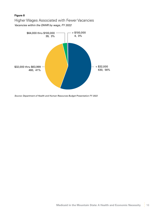#### **Figure 8**

Higher Wages Associated with Fewer Vacancies *Vacancies within the DHHR by wage, FY 2022*



*Source: Department of Health and Human Resources Budget Presentation FY 2022*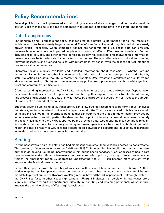# <span id="page-16-0"></span>**Policy Recommendations**

Several policies can be implemented to help mitigate some of the challenges outlined in the previous section. Each of these policies aims to help make Medicaid more efficient, both in the short- and long-term.

### Data Transparency

The pandemic and its subsequent policy changes created a natural experiment of sorts, the impacts of which researchers have already begun to unwind. The information collected during this period has already proven crucial, especially when compared against pre-pandemic statistics. These data can precisely measure how various policies impacted people — and how their effects differ based on a variety of factors, including race, sex, age, and other demographics. By observing, collecting, and analyzing this information, researchers can better advocate for impacted communities. These studies are also critical for creating relevant, necessary, and nuanced policies; without empirical evidence, even the best of political intentions can waste valuable resources.

Therefore, having publicly available and detailed information about Medicaid — whether around demographics, utilization, or other key features — is critical to having a successful program and a healthy state. Collecting said data, though, is merely the first step. Data, whether quantitative or qualitative (or, ideally, a combination of both), must underscore every policy prescription, especially those with significant fiscal and community ramifications.

Of course, sending interested parties DHHR data manually requires a lot of time and resources. Depending on the information, datasets can take up to days or months to gather, organize, and redistribute. By automating this process and publicizing this data online as necessary and proper, the department can reduce the amount of time spent on redundant responses.

But even beyond publicizing data, transparency can allow outside researchers to perform robust analyses that state agencies otherwise do not have the capacity to prioritize. The costs associated with this policy would be negligible relative to the enormous benefits that can spur from the broad range of insight provided by various, research-driven third parties. The sheer number of policy solutions that would become more quickly and readily available to the DHHR, supported by the provided data, would offer nuanced solutions relevant to the state. Furthermore, transparency within government agencies is a best practice, both within public health and more broadly. It would foster collaboration between the department, advocates, researchers, interested parties, and, of course, impacted communities.

### **Staffing**

For the past several years, the state has had significant problems filling vacancies across its departments. This problem, of course, extends to the DHHR and BMS.<sup>38</sup> Understaffing has implications across the state, but these go beyond just being inconvenient within public health services. A lack of access to health care services can mean the difference between a routine checkup with a primary care physician and an expensive visit to the emergency room. By addressing understaffing, the DHHR can become more efficient while improving the Medicaid user experience.

Earlier, this report showed the number of vacancies within several bureaus in the DHHR (*Figure 7*). Such evidence uplifts the discrepancy between current resources and what the department needs to fulfill its core mandate to protect public health across West Virginia. But beyond the lack of personnel — although related the DHHR also faces another issue: high turnover. *Figure 8* indicates that persistently low wages are a significant factor driving the department's difficulty in recruiting and retaining personnel, which, in turn, impacts the overall wellness of West Virginia residents.

<sup>38</sup> Ibid.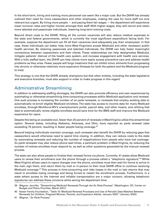<span id="page-17-0"></span>In the short-term, hiring and training more personnel can seem like a major cost. But the DHHR has already outlined their need for more caseworkers and other employees, making the case for more staff not only relevant but urgent. By hiring more people — and paying them fair wages — the department will experience lower turnover rates and higher morale amongst their staff. With higher wages, they will recruit and retain more talented and passionate individuals, lowering long-term training costs.

Beyond direct costs to the DHHR, filling all the current vacancies will also reduce medical expenses to the state and federal governments, which is currently the most significant expenditure facing both. For example, suppose the department can fill all their vacancies (and adequately pay their employees). In that case, these individuals can better help more West Virginians access Medicaid and other necessary public health services. By retaining passionate and talented individuals, the DHHR can help foster meaningful connections between caseworkers and their clients. These relationships can help destigmatize Medicaid, mitigate patients' distrust of the health care system, and increase engagement with health care services. With a fully staffed team, the DHHR can help clients more easily access preventive care and address health problems as they arise. Fewer people will forgo treatment that can inhibit minor ailments from progressing into chronic or otherwise relatively more expensive illnesses for both the patient and the Medicaid program to treat.

This strategy is one that the DHHR already champions but that other entities, including the state legislative and executive branches, must also support in order to make progress in this regard.

# Administrative Streamlining

In addition to addressing staffing shortages, the DHHR can also promote efficiency and user experiences by automating or otherwise streamlining time-consuming processes within Medicaid application and renewal. One such process is increasing the number of *ex parte* renewals, or renewals that employ existing data to automatically re-enroll eligible Medicaid enrollees. The state has access to income data for many Medicaid enrollees, through Workforce WV's unemployment portal, payroll data, and other means, and utilizing that data to automatically renew eligible enrollees would save time for the BMS staff and improve the Medicaid experience for users.

Despite this being an available tool, fewer than 25 percent of renewals in West Virginia utilize this streamlined option. Several states, including Alabama, Arkansas, and Ohio, have reported *ex parte* renewal rates exceeding 75 percent, resulting in fewer people losing coverage. 39

Beyond helping individuals maintain coverage, such renewals also benefit the DHHR by reducing gaps that caseworkers would otherwise need to spend time closing. In addition, they can reduce costs to the state by automating renewals and reducing the number of reapplications from people who have lost coverage. *Ex parte* renewals may also reduce phone wait times, a pertinent problem in West Virginia, by reducing the number of notices enrollees must respond to, as well as other questions generated by the manual renewal process.

The state can also allow people to finalize their renewal forms via phone. Currently, 41 states allow Medicaid users to renew their enrollment over the phone through a process called a "telephonic signature."<sup>40</sup> While West Virginia allows users to report changes over the phone, enrollees must then wait for forms to arrive in the mail, sign them, and return them by mail or in-person to their local DHHR office to continue receiving Medicaid coverage.<sup>41</sup> This process is time-consuming and risks losses in the mail or late returns that may result in enrollees losing coverage and being forced to restart the enrollment process. Furthermore, in a state where access to the internet and reliable transportation are a major concern, allowing telephonic signatures can address these concerns while saving the department time.

<sup>39</sup> Wagner, Jennifer, "Streamlining Medicaid Renewals Through the *Ex Parte* Process," (Washington, DC: Center on Budget and Policy Priorities, March 2021).

<sup>40</sup> Kaiser Family Foundation, "Table 10: Medicaid Renewal Processes and Use of Periodic Data Matches Between Renewals for Children, Pregnant Women, Parents, and Expansion Adults, January 2020" (January 2020).

<sup>41</sup> Wagner, "*Ex Parte* Process."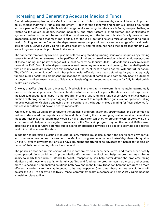### <span id="page-18-0"></span>Increasing and Generating Adequate Medicaid Funds

Overall, adequately planning the Medicaid budget, most of which is foreseeable, is one of the most important policy choices that West Virginia can implement — both for the economic and health well-being of our state and our people. Projecting a flat Medicaid budget while knowing that the state is facing unique challenges related to the opioid epidemic, income inequality, and other factors is short-sighted and contributes to systemic problems that will be more difficult to disentangle in the future. It is also fiscally unsound and irresponsible, making it that much more difficult for the DHHR to fulfill its core mission of promoting public health. Stifling and underfunding the department leaves people without access to a range of critical health care services. Serving West Virginia requires proactivity and realism, not hope that decreased funding will erase long-term systemic problems in the state.

The pandemic temporarily covered up some of these long-standing funding issues and inequities by creating several federal funding streams that helped West Virginia keep more of its residents healthy. However, some of these funding and policy changes will sunset as early as January 2022 — despite their clear relevance beyond the PHE. Combined with persistent elevated unemployment levels and poverty, the health disparities that so many West Virginians have experienced will return, at least to some degree, without further action. The COVID-19 pandemic confirmed what public health officials have been defending for years: adequately funding public health has significant implications for individual, familial, and community health outcomes far beyond its direct reach. Hence, officials at all levels of government must advocate for fully funded public health care systems.

One way that West Virginia can advocate for Medicaid in the long-term is to commit to maintaining a mutually exclusive relationship between Medicaid funds and other services. For years, the state has used surpluses in the Medicaid budget to fill gaps in other programs. While fully funding a range of services is critical, using a public health program already struggling to remain solvent to mitigate these gaps is a poor practice. Taking funds allocated for Medicaid and using them elsewhere in the budget makes planning for fiscal solvency for the six-year outlook and beyond nearly impossible.

While such funds would be imperative to the Medicaid program under any circumstance, the pandemic has further underscored the importance of these dollars. During the upcoming legislative session, lawmakers must prioritize bills that require that Medicaid have funds from which other programs cannot borrow. Such a structure would help ensure long-term solvency for the Medicaid program beyond the current 2026 sunset, offsetting the cost of future potential public health emergencies. It would also begin to alleviate deep-rooted health inequities across the state.

In addition to protecting existing Medicaid dollars, officials must also support the health care provider tax and other revenue sources that can help the Medicaid program better serve all West Virginians who qualify. On every level of government, officials have abundant opportunities to advocate for increased funding on behalf of their constituents, whose lives depend on it.

The policies described in this section of the report are by no means exhaustive, and many other fiscally sound prescriptions could help improve Medicaid's long-term outlook and help the program maximize its ability to reach those who it intends to assist. Transparency can help better define the problems facing Medicaid and those who use it, while fully staffing and funding the program can help create and execute more nuanced and personalized solutions both now and in the future. These can help the program be more efficient, allowing it to work as intended to its total capacity. Over time, these and other solutions will bolster the DHHR's ability to positively impact community health outcomes and help West Virginia become a healthier place to live.